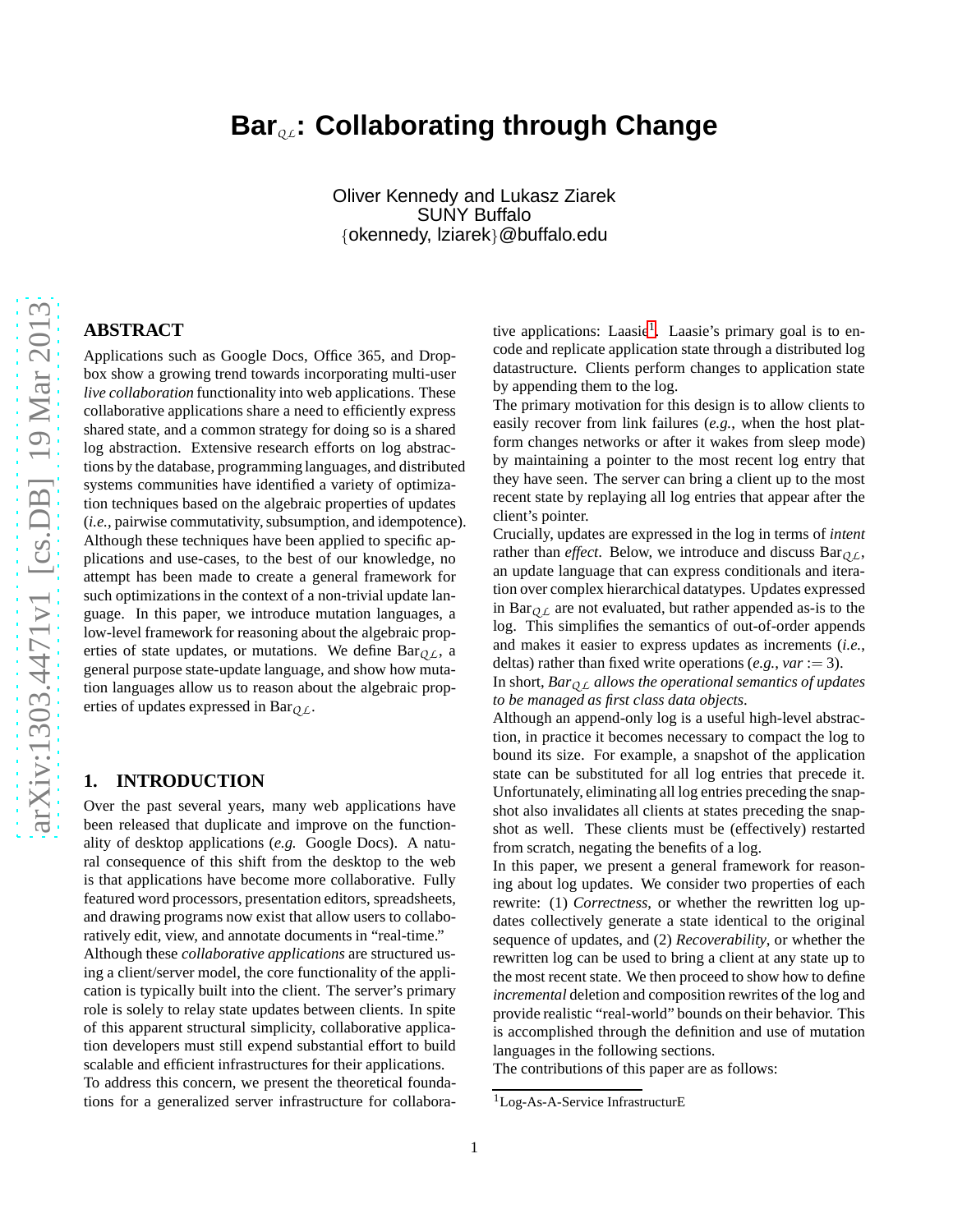# **Bar***Q L***: Collaborating through Change**

Oliver Kennedy and Lukasz Ziarek SUNY Buffalo {okennedy, lziarek}@buffalo.edu

# **ABSTRACT**

Applications such as Google Docs, Office 365, and Dropbox show a growing trend towards incorporating multi-user *live collaboration* functionality into web applications. These collaborative applications share a need to efficiently express shared state, and a common strategy for doing so is a shared log abstraction. Extensive research efforts on log abstractions by the database, programming languages, and distributed systems communities have identified a variety of optimization techniques based on the algebraic properties of updates (*i.e.*, pairwise commutativity, subsumption, and idempotence). Although these techniques have been applied to specific applications and use-cases, to the best of our knowledge, no attempt has been made to create a general framework for such optimizations in the context of a non-trivial update language. In this paper, we introduce mutation languages, a low-level framework for reasoning about the algebraic properties of state updates, or mutations. We define  $Bar_{OL}$ , a general purpose state-update language, and show how mutation languages allow us to reason about the algebraic properties of updates expressed in Bar*Q L*.

# **1. INTRODUCTION**

Over the past several years, many web applications have been released that duplicate and improve on the functionality of desktop applications (*e.g.* Google Docs). A natural consequence of this shift from the desktop to the web is that applications have become more collaborative. Fully featured word processors, presentation editors, spreadsheets, and drawing programs now exist that allow users to collaboratively edit, view, and annotate documents in "real-time." Although these *collaborative applications* are structured using a client/server model, the core functionality of the application is typically built into the client. The server's primary role is solely to relay state updates between clients. In spite of this apparent structural simplicity, collaborative application developers must still expend substantial effort to build scalable and efficient infrastructures for their applications.

To address this concern, we present the theoretical foundations for a generalized server infrastructure for collabora-

tive applications: Laasie<sup>[1](#page-0-0)</sup>. Laasie's primary goal is to encode and replicate application state through a distributed log datastructure. Clients perform changes to application state by appending them to the log.

The primary motivation for this design is to allow clients to easily recover from link failures (*e.g.*, when the host platform changes networks or after it wakes from sleep mode) by maintaining a pointer to the most recent log entry that they have seen. The server can bring a client up to the most recent state by replaying all log entries that appear after the client's pointer.

Crucially, updates are expressed in the log in terms of *intent* rather than *effect*. Below, we introduce and discuss  $Bar_{OL}$ , an update language that can express conditionals and iteration over complex hierarchical datatypes. Updates expressed in Bar $_{QL}$  are not evaluated, but rather appended as-is to the log. This simplifies the semantics of out-of-order appends and makes it easier to express updates as increments (*i.e.*, deltas) rather than fixed write operations (*e.g.*, *var* := 3).

In short, *BarQ L allows the operational semantics of updates to be managed as first class data objects*.

Although an append-only log is a useful high-level abstraction, in practice it becomes necessary to compact the log to bound its size. For example, a snapshot of the application state can be substituted for all log entries that precede it. Unfortunately, eliminating all log entries preceding the snapshot also invalidates all clients at states preceding the snapshot as well. These clients must be (effectively) restarted from scratch, negating the benefits of a log.

In this paper, we present a general framework for reasoning about log updates. We consider two properties of each rewrite: (1) *Correctness*, or whether the rewritten log updates collectively generate a state identical to the original sequence of updates, and (2) *Recoverability*, or whether the rewritten log can be used to bring a client at any state up to the most recent state. We then proceed to show how to define *incremental* deletion and composition rewrites of the log and provide realistic "real-world" bounds on their behavior. This is accomplished through the definition and use of mutation languages in the following sections.

The contributions of this paper are as follows:

<span id="page-0-0"></span><sup>1</sup>Log-As-A-Service InfrastructurE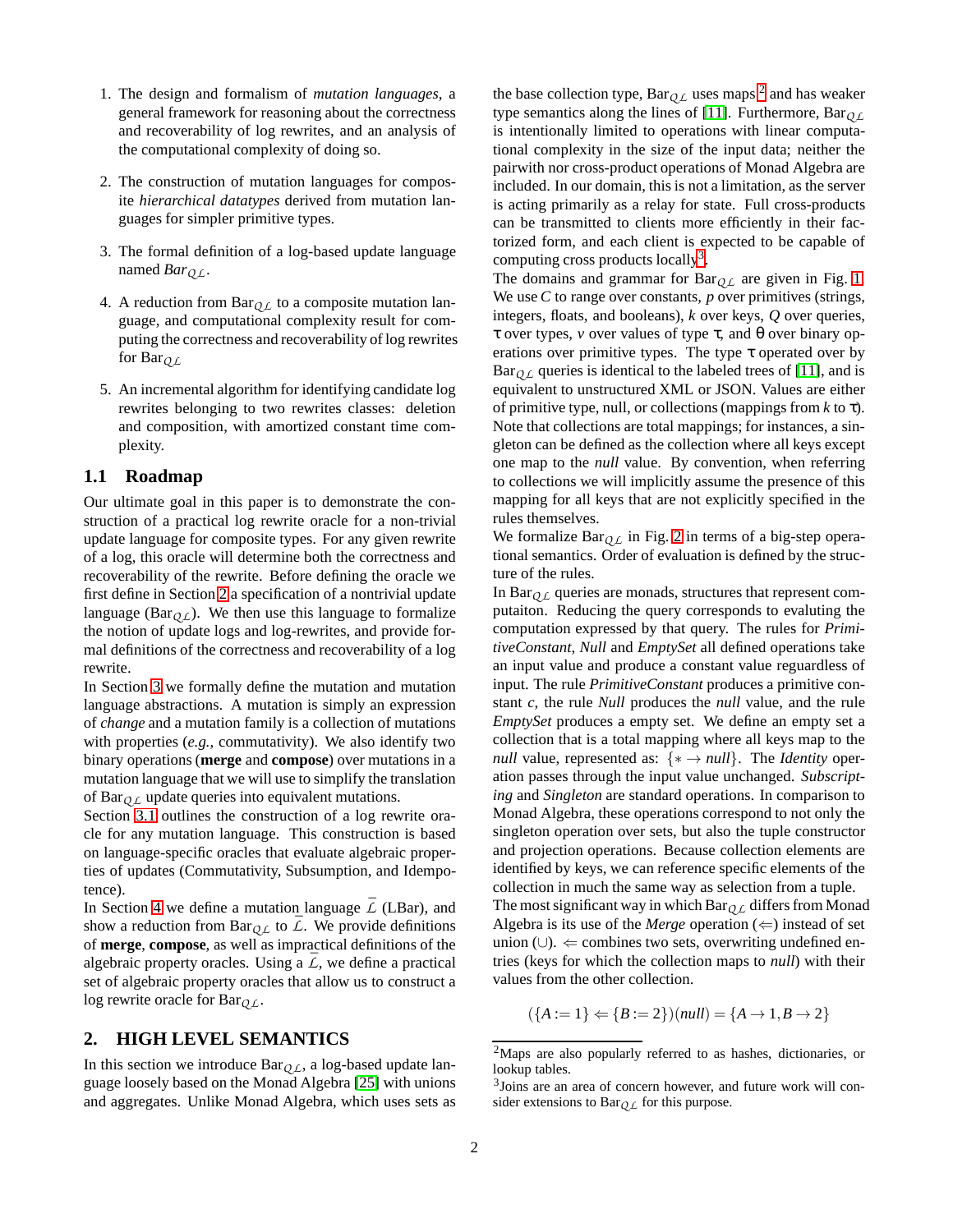- 1. The design and formalism of *mutation languages*, a general framework for reasoning about the correctness and recoverability of log rewrites, and an analysis of the computational complexity of doing so.
- 2. The construction of mutation languages for composite *hierarchical datatypes* derived from mutation languages for simpler primitive types.
- 3. The formal definition of a log-based update language named *BarQ L*.
- 4. A reduction from  $Bar_{OL}$  to a composite mutation language, and computational complexity result for computing the correctness and recoverability of log rewrites for Bar*Q L*
- 5. An incremental algorithm for identifying candidate log rewrites belonging to two rewrites classes: deletion and composition, with amortized constant time complexity.

## **1.1 Roadmap**

Our ultimate goal in this paper is to demonstrate the construction of a practical log rewrite oracle for a non-trivial update language for composite types. For any given rewrite of a log, this oracle will determine both the correctness and recoverability of the rewrite. Before defining the oracle we first define in Section [2](#page-1-0) a specification of a nontrivial update language ( $Bar<sub>QL</sub>$ ). We then use this language to formalize the notion of update logs and log-rewrites, and provide formal definitions of the correctness and recoverability of a log rewrite.

In Section [3](#page-2-0) we formally define the mutation and mutation language abstractions. A mutation is simply an expression of *change* and a mutation family is a collection of mutations with properties (*e.g.*, commutativity). We also identify two binary operations (**merge** and **compose**) over mutations in a mutation language that we will use to simplify the translation of  $Bar_{OL}$  update queries into equivalent mutations.

Section [3.1](#page-4-0) outlines the construction of a log rewrite oracle for any mutation language. This construction is based on language-specific oracles that evaluate algebraic properties of updates (Commutativity, Subsumption, and Idempotence).

In Section [4](#page-5-0) we define a mutation language  $\overline{L}$  (LBar), and show a reduction from Bar<sub>O L</sub> to  $\overline{L}$ . We provide definitions of **merge**, **compose**, as well as impractical definitions of the algebraic property oracles. Using a  $\overline{L}$ , we define a practical set of algebraic property oracles that allow us to construct a log rewrite oracle for Bar*Q L*.

## <span id="page-1-0"></span>**2. HIGH LEVEL SEMANTICS**

In this section we introduce  $Bar_{QL}$ , a log-based update language loosely based on the Monad Algebra [\[25\]](#page-8-0) with unions and aggregates. Unlike Monad Algebra, which uses sets as

the base collection type,  $Bar_{QL}$  uses maps <sup>[2](#page-1-1)</sup> and has weaker type semantics along the lines of [\[11\]](#page-8-1). Furthermore,  $Bar_{OL}$ is intentionally limited to operations with linear computational complexity in the size of the input data; neither the pairwith nor cross-product operations of Monad Algebra are included. In our domain, this is not a limitation, as the server is acting primarily as a relay for state. Full cross-products can be transmitted to clients more efficiently in their factorized form, and each client is expected to be capable of computing cross products locally<sup>[3](#page-1-2)</sup>.

The domains and grammar for  $Bar_{QL}$  are given in Fig. [1.](#page-2-1) We use *C* to range over constants, *p* over primitives (strings, integers, floats, and booleans), *k* over keys, *Q* over queries, τ over types, *v* over values of type τ, and θ over binary operations over primitive types. The type τ operated over by  $Bar<sub>OL</sub>$  queries is identical to the labeled trees of [\[11\]](#page-8-1), and is equivalent to unstructured XML or JSON. Values are either of primitive type, null, or collections (mappings from *k* to τ). Note that collections are total mappings; for instances, a singleton can be defined as the collection where all keys except one map to the *null* value. By convention, when referring to collections we will implicitly assume the presence of this mapping for all keys that are not explicitly specified in the rules themselves.

We formalize  $Bar_{OL}$  in Fig. [2](#page-3-0) in terms of a big-step operational semantics. Order of evaluation is defined by the structure of the rules.

In Bar $_{OL}$  queries are monads, structures that represent computaiton. Reducing the query corresponds to evaluting the computation expressed by that query. The rules for *PrimitiveConstant*, *Null* and *EmptySet* all defined operations take an input value and produce a constant value reguardless of input. The rule *PrimitiveConstant* produces a primitive constant *c*, the rule *Null* produces the *null* value, and the rule *EmptySet* produces a empty set. We define an empty set a collection that is a total mapping where all keys map to the *null* value, represented as:  $\{*\rightarrow null\}$ . The *Identity* operation passes through the input value unchanged. *Subscripting* and *Singleton* are standard operations. In comparison to Monad Algebra, these operations correspond to not only the singleton operation over sets, but also the tuple constructor and projection operations. Because collection elements are identified by keys, we can reference specific elements of the collection in much the same way as selection from a tuple.

The most significant way in which Bar*Q L* differs from Monad Algebra is its use of the *Merge* operation  $(\Leftarrow)$  instead of set union (∪). ⇐ combines two sets, overwriting undefined entries (keys for which the collection maps to *null*) with their values from the other collection.

$$
(\{A := 1\} \Leftarrow \{B := 2\})(null) = \{A \to 1, B \to 2\}
$$

<sup>2</sup>Maps are also popularly referred to as hashes, dictionaries, or lookup tables.

<span id="page-1-2"></span><span id="page-1-1"></span><sup>3</sup> Joins are an area of concern however, and future work will consider extensions to  $Bar_{Q,L}$  for this purpose.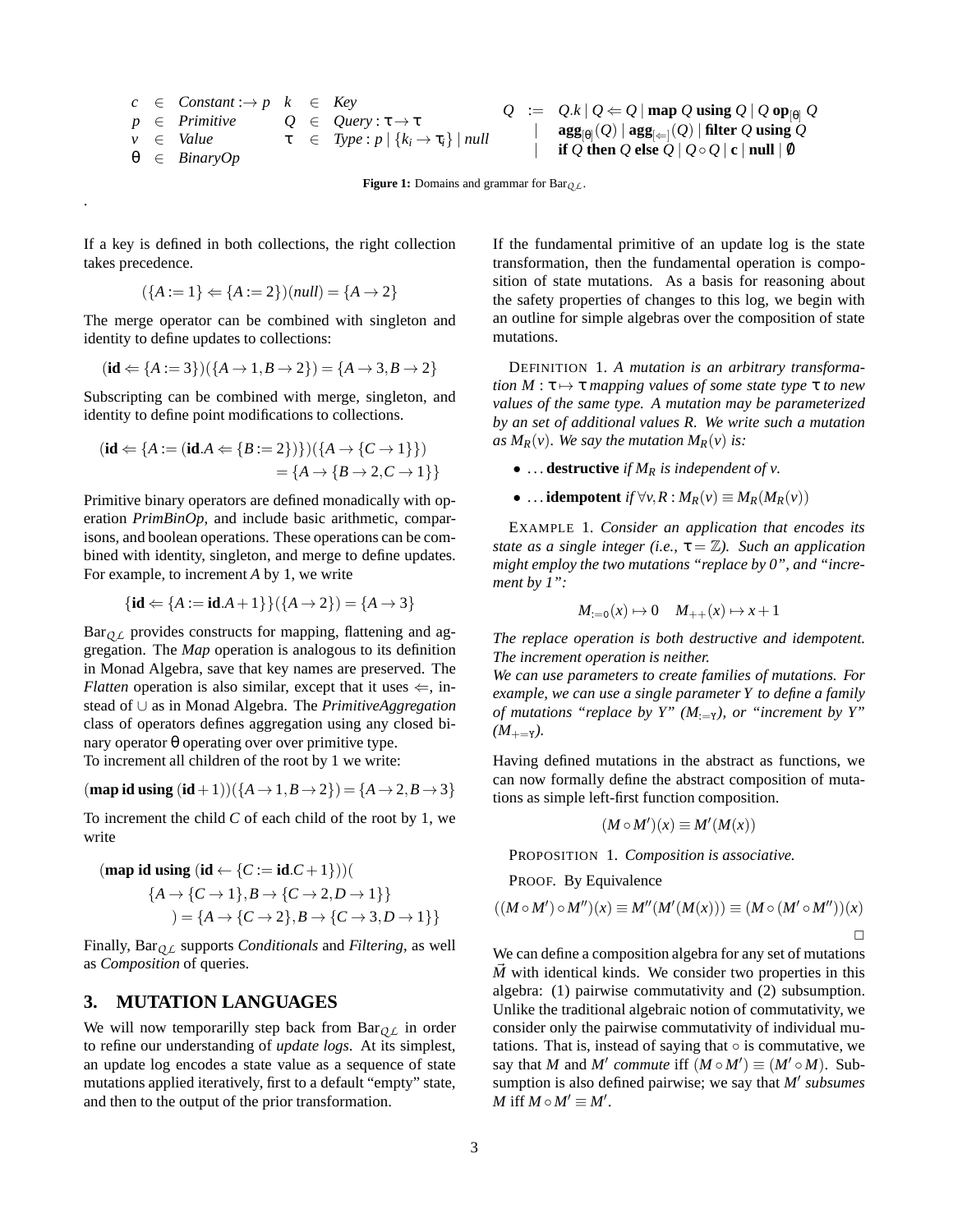<span id="page-2-1"></span>
$$
c \in Constant: \rightarrow p \quad k \in Key
$$
  
\n
$$
p \in Primitive \quad Q \in Query: \tau \rightarrow \tau
$$
  
\n
$$
\nu \in Value \quad \tau \in Type: p \mid \{k_i \rightarrow \tau_i\} \mid null
$$
  
\n
$$
\theta \in BinaryOp
$$

$$
Q := Q.k | Q \Leftarrow Q | \text{map } Q \text{ using } Q | Q \text{ op}_{[0]} Q
$$
  
\n
$$
| \text{agg}_{[0]}(Q) | \text{agg}_{[ \leftarrow ]}(Q) | \text{ filter } Q \text{ using } Q
$$
  
\n
$$
| \text{ if } Q \text{ then } Q \text{ else } Q | Q \circ Q | \text{ c } | \text{ null } | \emptyset
$$

**Figure 1:** Domains and grammar for Bar<sub>O L</sub>.

If a key is defined in both collections, the right collection takes precedence.

.

$$
(\{A := 1\} \Leftarrow \{A := 2\})(null) = \{A \rightarrow 2\}
$$

The merge operator can be combined with singleton and identity to define updates to collections:

$$
(id \Leftarrow {A := 3}) ( {A \to 1, B \to 2}) = {A \to 3, B \to 2}
$$

Subscripting can be combined with merge, singleton, and identity to define point modifications to collections.

$$
(\mathbf{id} \Leftarrow \{A := (\mathbf{id}.A \Leftarrow \{B := 2\})\}) (\{A \to \{C \to 1\}\})
$$

$$
= \{A \to \{B \to 2, C \to 1\}\}\
$$

Primitive binary operators are defined monadically with operation *PrimBinOp*, and include basic arithmetic, comparisons, and boolean operations. These operations can be combined with identity, singleton, and merge to define updates. For example, to increment *A* by 1, we write

$$
{\bf id} \Leftarrow {A := \mathbf{id} \cdot A + 1} \quad ( {A \to 2} ) = {A \to 3}
$$

Bar<sub>Q L</sub> provides constructs for mapping, flattening and aggregation. The *Map* operation is analogous to its definition in Monad Algebra, save that key names are preserved. The *Flatten* operation is also similar, except that it uses  $\Leftarrow$ , instead of ∪ as in Monad Algebra. The *PrimitiveAggregation* class of operators defines aggregation using any closed binary operator θ operating over over primitive type. To increment all children of the root by 1 we write:

$$
(\textbf{map id using } (\textbf{id} + 1))(\lbrace A \rightarrow 1, B \rightarrow 2 \rbrace) = \lbrace A \rightarrow 2, B \rightarrow 3 \rbrace
$$

To increment the child *C* of each child of the root by 1, we write

$$
(\text{map id using } (\text{id} \leftarrow \{C := \text{id}.C + 1\}))
$$
\n
$$
\{A \rightarrow \{C \rightarrow 1\}, B \rightarrow \{C \rightarrow 2, D \rightarrow 1\}\}
$$
\n
$$
)= \{A \rightarrow \{C \rightarrow 2\}, B \rightarrow \{C \rightarrow 3, D \rightarrow 1\}\}
$$

Finally, Bar*Q L* supports *Conditionals* and *Filtering*, as well as *Composition* of queries.

# <span id="page-2-0"></span>**3. MUTATION LANGUAGES**

We will now temporarilly step back from  $Bar_{OL}$  in order to refine our understanding of *update logs*. At its simplest, an update log encodes a state value as a sequence of state mutations applied iteratively, first to a default "empty" state, and then to the output of the prior transformation.

If the fundamental primitive of an update log is the state transformation, then the fundamental operation is composition of state mutations. As a basis for reasoning about the safety properties of changes to this log, we begin with an outline for simple algebras over the composition of state mutations.

DEFINITION 1. *A mutation is an arbitrary transformation*  $M : \tau \mapsto \tau$  *mapping values of some state type*  $\tau$  *to new values of the same type. A mutation may be parameterized by an set of additional values R. We write such a mutation as*  $M_R(v)$ *. We say the mutation*  $M_R(v)$  *is:* 

•  $\ldots$  **destructive** *if*  $M_R$  *is independent of v.* 

• ... **idempotent** *if*  $\forall v, R : M_R(v) \equiv M_R(M_R(v))$ 

<span id="page-2-2"></span>EXAMPLE 1. *Consider an application that encodes its state as a single integer (i.e.,*  $\tau = \mathbb{Z}$ ). *Such an application might employ the two mutations "replace by 0", and "increment by 1":*

$$
M_{:=0}(x) \mapsto 0 \quad M_{++}(x) \mapsto x+1
$$

*The replace operation is both destructive and idempotent. The increment operation is neither.*

*We can use parameters to create families of mutations. For example, we can use a single parameter Y to define a family of mutations "replace by Y"*  $(M_{:=Y})$ *, or "increment by Y"*  $(M_{+\!=\mathsf{Y}})$ .

Having defined mutations in the abstract as functions, we can now formally define the abstract composition of mutations as simple left-first function composition.

$$
(M \circ M')(x) \equiv M'(M(x))
$$

<span id="page-2-3"></span>PROPOSITION 1. *Composition is associative.*

PROOF. By Equivalence

$$
((M \circ M') \circ M'')(x) \equiv M''(M'(M(x))) \equiv (M \circ (M' \circ M''))(x)
$$

We can define a composition algebra for any set of mutations  $\overline{M}$  with identical kinds. We consider two properties in this algebra: (1) pairwise commutativity and (2) subsumption. Unlike the traditional algebraic notion of commutativity, we consider only the pairwise commutativity of individual mutations. That is, instead of saying that  $\circ$  is commutative, we say that *M* and *M'* commute iff  $(M \circ M') \equiv (M' \circ M)$ . Subsumption is also defined pairwise; we say that *M*′ *subsumes M* iff  $M \circ M' \equiv M'$ .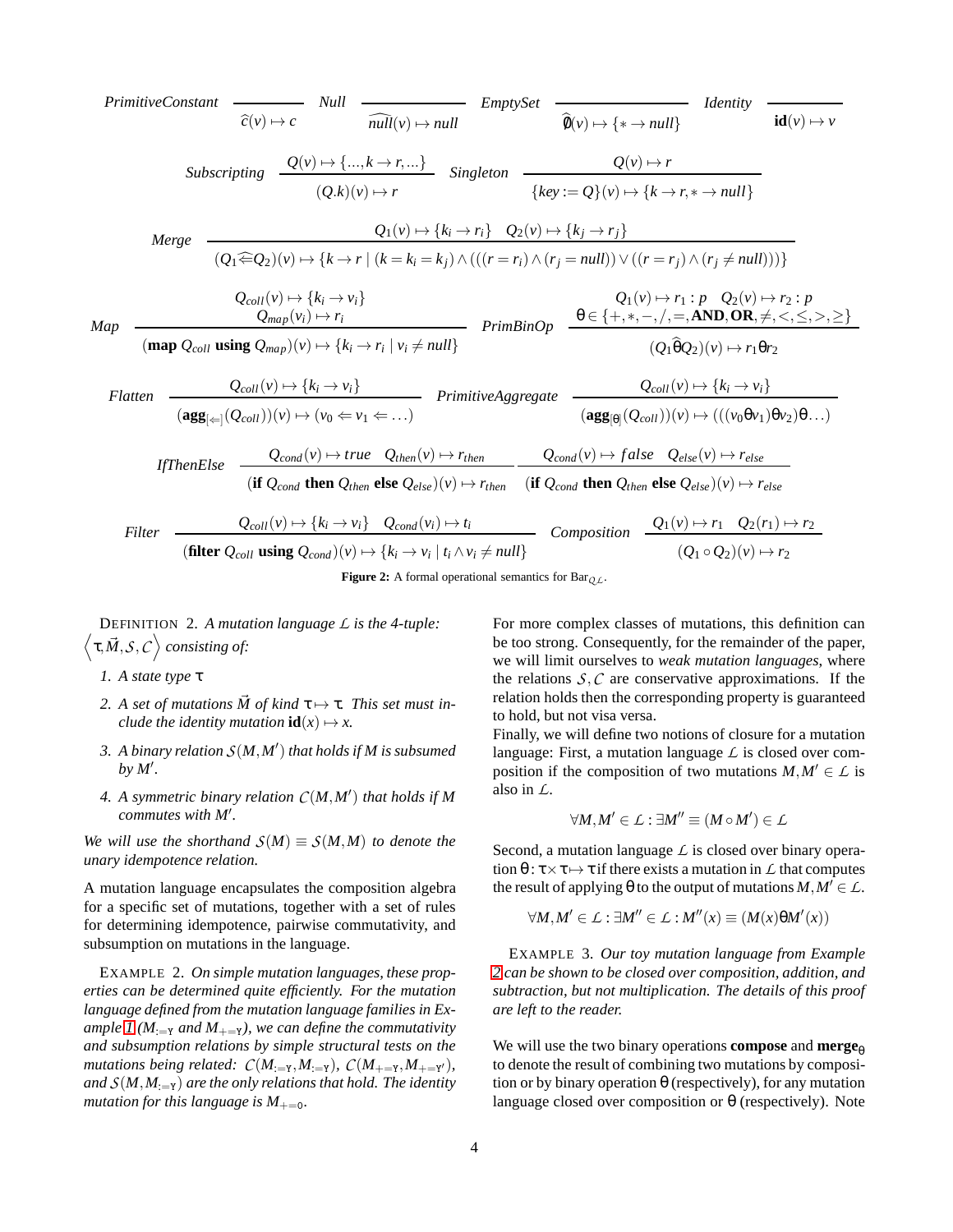<span id="page-3-0"></span>*PrimitiveConstant*  
\n
$$
\overline{c}(v) \rightarrow c \quad \text{Null}
$$
\n
$$
\overline{c}(v) \rightarrow \text{full}
$$
\n
$$
\overline{c}(v) \rightarrow \text{full}
$$
\n
$$
\overline{c}(v) \rightarrow \text{full}
$$
\n
$$
\overline{c}(v) \rightarrow \text{full}
$$
\n
$$
\overline{c}(v) \rightarrow \text{full}
$$
\n
$$
\overline{c}(v) \rightarrow \text{full}
$$
\n
$$
\overline{c}(v) \rightarrow \text{full}
$$
\n
$$
\overline{c}(v) \rightarrow \text{full}
$$
\n
$$
\overline{c}(v) \rightarrow \text{full}
$$
\n
$$
\overline{c}(v) \rightarrow \text{full}
$$
\n
$$
\overline{c}(v) \rightarrow \text{full}
$$
\n
$$
\overline{c}(v) \rightarrow \text{full}
$$
\n
$$
\overline{c}(v) \rightarrow \text{full}
$$
\n
$$
\overline{c}(v) \rightarrow \text{full}
$$
\n
$$
\overline{c}(v) \rightarrow \text{full}
$$
\n
$$
\overline{c}(v) \rightarrow \text{full}
$$
\n
$$
\overline{c}(v) \rightarrow \text{full}
$$
\n
$$
\overline{c}(v) \rightarrow \text{full}
$$
\n
$$
\overline{c}(v) \rightarrow \text{full}
$$
\n
$$
\overline{c}(v) \rightarrow \text{full}
$$
\n
$$
\overline{c}(v) \rightarrow \text{full}
$$
\n
$$
\overline{c}(v) \rightarrow \text{full}
$$
\n
$$
\overline{c}(v) \rightarrow \text{full}
$$
\n
$$
\overline{c}(v) \rightarrow \text{full}
$$
\n
$$
\overline{c}(v) \rightarrow \text{full}
$$
\n
$$
\overline{c}(v) \rightarrow \text{full}
$$
\n
$$
\overline{c}(v) \rightarrow \text{full}
$$
\n
$$
\overline{c}(v) \rightarrow \text{full}
$$
\n
$$
\overline{c}(v) \rightarrow \text{full}
$$
\n
$$
\overline{c}(v) \rightarrow \text{full}
$$
\n
$$
\overline{c}(v) \rightarrow \text{full}
$$
\n
$$
\overline{c}(v) \rightarrow \
$$

**Figure 2:** A formal operational semantics for  $Bar_{OL}$ .

DEFINITION 2. *A mutation language L is the 4-tuple:*  $\langle \tau, \vec{M}, \mathcal{S}, \mathcal{C} \rangle$  consisting of:

- *1. A state type* τ
- 2. A set of mutations  $\vec{M}$  of kind  $\tau \mapsto \tau$ . This set must in*clude the identity mutation*  $id(x) \mapsto x$ .
- *3. A binary relation S*(*M*,*M*′ ) *that holds if M is subsumed by M*′ *.*
- *4. A symmetric binary relation C*(*M*,*M*′ ) *that holds if M commutes with M*′ *.*

*We will use the shorthand*  $S(M) \equiv S(M,M)$  *to denote the unary idempotence relation.*

A mutation language encapsulates the composition algebra for a specific set of mutations, together with a set of rules for determining idempotence, pairwise commutativity, and subsumption on mutations in the language.

<span id="page-3-1"></span>EXAMPLE 2. *On simple mutation languages, these properties can be determined quite efficiently. For the mutation language defined from the mutation language families in Example 1* ( $M_{:=Y}$  *and*  $M_{+=Y}$ *), we can define the commutativity and subsumption relations by simple structural tests on the mutations being related:*  $C(M_{:=Y}, M_{:=Y})$ *,*  $C(M_{+=Y}, M_{+=Y'})$ *, and*  $S(M, M_{:=Y})$  *are the only relations that hold. The identity mutation for this language is*  $M_{+-0}$ *.* 

For more complex classes of mutations, this definition can be too strong. Consequently, for the remainder of the paper, we will limit ourselves to *weak mutation languages*, where the relations  $S, C$  are conservative approximations. If the relation holds then the corresponding property is guaranteed to hold, but not visa versa.

Finally, we will define two notions of closure for a mutation language: First, a mutation language *L* is closed over composition if the composition of two mutations  $M, M' \in \mathcal{L}$  is also in *L*.

$$
\forall M,M'\in\mathcal{L}:\exists M''\equiv (M\circ M')\in\mathcal{L}
$$

Second, a mutation language  $\angle$  is closed over binary operation  $\theta$  :  $\tau \times \tau \mapsto \tau$  if there exists a mutation in  $\mathcal L$  that computes the result of applying  $\theta$  to the output of mutations  $M, M' \in \mathcal{L}$ .

$$
\forall M, M' \in \mathcal{L} : \exists M'' \in \mathcal{L} : M''(x) \equiv (M(x)\theta M'(x))
$$

EXAMPLE 3. *Our toy mutation language from Example [2](#page-3-1) can be shown to be closed over composition, addition, and subtraction, but not multiplication. The details of this proof are left to the reader.*

We will use the two binary operations **compose** and **merge**<sup> $\theta$ </sup> to denote the result of combining two mutations by composition or by binary operation  $\theta$  (respectively), for any mutation language closed over composition or θ (respectively). Note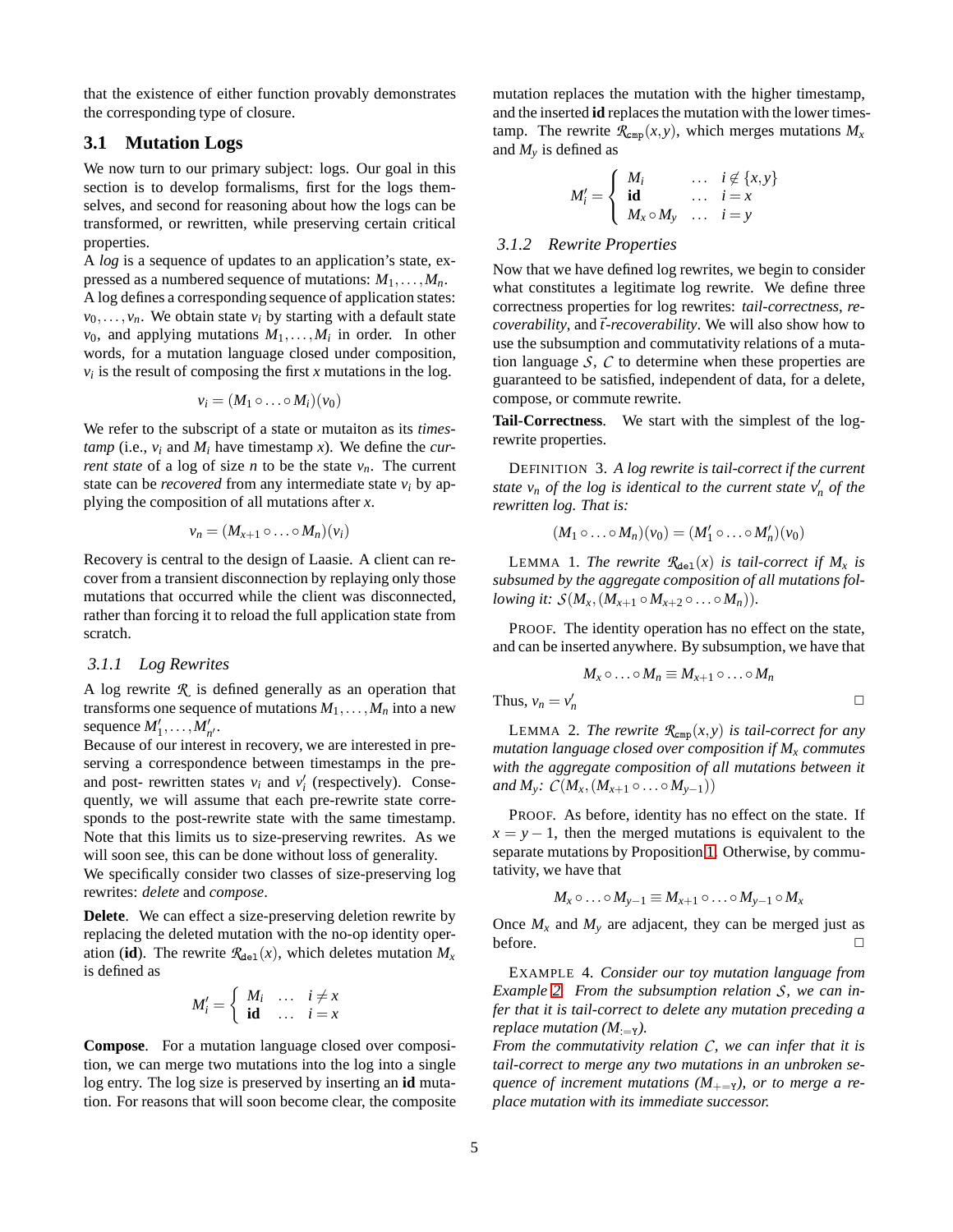that the existence of either function provably demonstrates the corresponding type of closure.

# <span id="page-4-0"></span>**3.1 Mutation Logs**

We now turn to our primary subject: logs. Our goal in this section is to develop formalisms, first for the logs themselves, and second for reasoning about how the logs can be transformed, or rewritten, while preserving certain critical properties.

A *log* is a sequence of updates to an application's state, expressed as a numbered sequence of mutations:  $M_1, \ldots, M_n$ . A log defines a corresponding sequence of application states:  $v_0, \ldots, v_n$ . We obtain state  $v_i$  by starting with a default state  $v_0$ , and applying mutations  $M_1, \ldots, M_i$  in order. In other words, for a mutation language closed under composition,  $v_i$  is the result of composing the first *x* mutations in the log.

$$
v_i=(M_1\circ\ldots\circ M_i)(v_0)
$$

We refer to the subscript of a state or mutaiton as its *timestamp* (i.e.,  $v_i$  and  $M_i$  have timestamp *x*). We define the *current state* of a log of size *n* to be the state  $v_n$ . The current state can be *recovered* from any intermediate state  $v_i$  by applying the composition of all mutations after *x*.

$$
v_n=(M_{x+1}\circ\ldots\circ M_n)(v_i)
$$

Recovery is central to the design of Laasie. A client can recover from a transient disconnection by replaying only those mutations that occurred while the client was disconnected, rather than forcing it to reload the full application state from scratch.

### *3.1.1 Log Rewrites*

A log rewrite *R* is defined generally as an operation that transforms one sequence of mutations  $M_1, \ldots, M_n$  into a new sequence  $M'_1, \ldots, M'_{n'}$ .

Because of our interest in recovery, we are interested in preserving a correspondence between timestamps in the preand post- rewritten states  $v_i$  and  $v'_i$  (respectively). Consequently, we will assume that each pre-rewrite state corresponds to the post-rewrite state with the same timestamp. Note that this limits us to size-preserving rewrites. As we will soon see, this can be done without loss of generality.

We specifically consider two classes of size-preserving log rewrites: *delete* and *compose*.

**Delete**. We can effect a size-preserving deletion rewrite by replacing the deleted mutation with the no-op identity operation (**id**). The rewrite  $\mathcal{R}_{\text{del}}(x)$ , which deletes mutation  $M_x$ is defined as

$$
M'_{i} = \begin{cases} M_{i} & \dots & i \neq x \\ \mathbf{id} & \dots & i = x \end{cases}
$$

**Compose**. For a mutation language closed over composition, we can merge two mutations into the log into a single log entry. The log size is preserved by inserting an **id** mutation. For reasons that will soon become clear, the composite mutation replaces the mutation with the higher timestamp, and the inserted **id** replaces the mutation with the lower timestamp. The rewrite  $\mathcal{R}_{\text{cmp}}(x, y)$ , which merges mutations  $M_x$ and  $M_v$  is defined as

$$
M'_{i} = \begin{cases} M_{i} & \dots & i \notin \{x, y\} \\ \mathbf{id} & \dots & i = x \\ M_{x} \circ M_{y} & \dots & i = y \end{cases}
$$

#### *3.1.2 Rewrite Properties*

Now that we have defined log rewrites, we begin to consider what constitutes a legitimate log rewrite. We define three correctness properties for log rewrites: *tail-correctness*, *recoverability*, and~*t-recoverability*. We will also show how to use the subsumption and commutativity relations of a mutation language *S*, *C* to determine when these properties are guaranteed to be satisfied, independent of data, for a delete, compose, or commute rewrite.

**Tail-Correctness**. We start with the simplest of the logrewrite properties.

DEFINITION 3. *A log rewrite is tail-correct if the current state*  $v_n$  *of the log is identical to the current state*  $v'_n$  *of the rewritten log. That is:*

$$
(M_1 \circ \ldots \circ M_n)(v_0) = (M'_1 \circ \ldots \circ M'_n)(v_0)
$$

LEMMA 1. The rewrite  $\mathcal{R}_{\text{del}}(x)$  is tail-correct if  $M_x$  is *subsumed by the aggregate composition of all mutations following it:*  $S(M_x, (M_{x+1} \circ M_{x+2} \circ ... \circ M_n)).$ 

PROOF. The identity operation has no effect on the state, and can be inserted anywhere. By subsumption, we have that

$$
M_x \circ \dots \circ M_n \equiv M_{x+1} \circ \dots \circ M_n
$$
  
Thus,  $v_n = v'_n$ 

**LEMMA 2.** *The rewrite*  $\mathcal{R}_{\text{cmp}}(x, y)$  *is tail-correct for any mutation language closed over composition if M<sup>x</sup> commutes with the aggregate composition of all mutations between it and*  $M_y$ *:*  $C(M_x, (M_{x+1} \circ ... \circ M_{y-1}))$ 

PROOF. As before, identity has no effect on the state. If  $x = y - 1$ , then the merged mutations is equivalent to the separate mutations by Proposition [1.](#page-2-3) Otherwise, by commutativity, we have that

$$
M_x \circ \ldots \circ M_{y-1} \equiv M_{x+1} \circ \ldots \circ M_{y-1} \circ M_x
$$

Once  $M_x$  and  $M_y$  are adjacent, they can be merged just as before.  $\Box$ 

EXAMPLE 4. *Consider our toy mutation language from Example [2.](#page-3-1) From the subsumption relation S, we can infer that it is tail-correct to delete any mutation preceding a replace mutation (M*<sub>:=Y</sub>).

*From the commutativity relation C, we can infer that it is tail-correct to merge any two mutations in an unbroken sequence of increment mutations*  $(M_{+-Y})$ *, or to merge a replace mutation with its immediate successor.*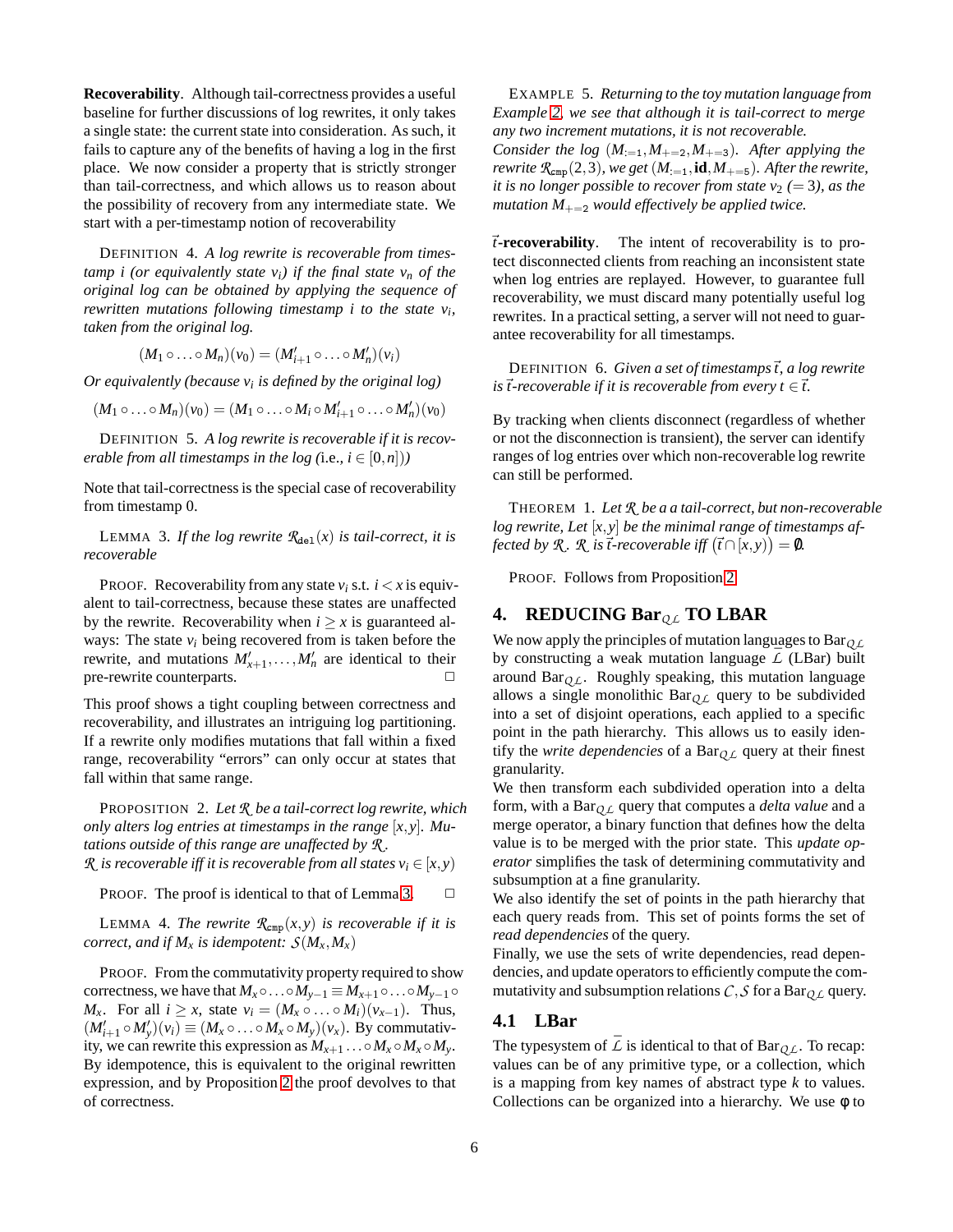**Recoverability**. Although tail-correctness provides a useful baseline for further discussions of log rewrites, it only takes a single state: the current state into consideration. As such, it fails to capture any of the benefits of having a log in the first place. We now consider a property that is strictly stronger than tail-correctness, and which allows us to reason about the possibility of recovery from any intermediate state. We start with a per-timestamp notion of recoverability

DEFINITION 4. *A log rewrite is recoverable from timestamp i (or equivalently state vi) if the final state v<sup>n</sup> of the original log can be obtained by applying the sequence of rewritten mutations following timestamp i to the state v<sup>i</sup> , taken from the original log.*

$$
(M_1 \circ \ldots \circ M_n)(v_0) = (M'_{i+1} \circ \ldots \circ M'_n)(v_i)
$$

*Or equivalently (because v<sup>i</sup> is defined by the original log)*

$$
(M_1 \circ \ldots \circ M_n)(v_0) = (M_1 \circ \ldots \circ M_i \circ M'_{i+1} \circ \ldots \circ M'_n)(v_0)
$$

DEFINITION 5. *A log rewrite is recoverable if it is recoverable from all timestamps in the log (i.e.,*  $i \in [0, n]$ *)* 

<span id="page-5-1"></span>Note that tail-correctness is the special case of recoverability from timestamp 0.

LEMMA 3. If the log rewrite  $\mathcal{R}_{\text{del}}(x)$  is tail-correct, it is *recoverable*

PROOF. Recoverability from any state  $v_i$  s.t.  $i < x$  is equivalent to tail-correctness, because these states are unaffected by the rewrite. Recoverability when  $i \geq x$  is guaranteed always: The state  $v_i$  being recovered from is taken before the rewrite, and mutations  $M'_{x+1}, \ldots, M'_{n}$  are identical to their pre-rewrite counterparts.

This proof shows a tight coupling between correctness and recoverability, and illustrates an intriguing log partitioning. If a rewrite only modifies mutations that fall within a fixed range, recoverability "errors" can only occur at states that fall within that same range.

<span id="page-5-2"></span>PROPOSITION 2. *Let R be a tail-correct log rewrite, which only alters log entries at timestamps in the range*  $[x, y]$ *. Mutations outside of this range are unaffected by R . R is recoverable iff it is recoverable from all states*  $v_i \in [x, y)$ 

PROOF. The proof is identical to that of Lemma [3.](#page-5-1)  $\Box$ 

LEMMA 4. *The rewrite*  $\mathcal{R}_{\text{cmp}}(x, y)$  *is recoverable if it is correct, and if*  $M_x$  *is idempotent:*  $S(M_x, M_x)$ 

PROOF. From the commutativity property required to show correctness, we have that  $M_x \circ \ldots \circ M_{y-1} \equiv M_{x+1} \circ \ldots \circ M_{y-1} \circ$ *M*<sup>*x*</sup>. For all *i* ≥ *x*, state  $v_i = (M_x \circ \ldots \circ M_i)(v_{x-1})$ . Thus,  $(M'_{i+1} \circ M'_{y})(v_i) \equiv (M_x \circ \dots \circ M_x \circ M_y)(v_x)$ . By commutativity, we can rewrite this expression as  $M_{x+1} \dots \circ M_x \circ M_x \circ M_y$ . By idempotence, this is equivalent to the original rewritten expression, and by Proposition [2](#page-5-2) the proof devolves to that of correctness.

EXAMPLE 5. *Returning to the toy mutation language from Example [2,](#page-3-1) we see that although it is tail-correct to merge any two increment mutations, it is not recoverable. Consider the log*  $(M_{:=1}, M_{+=2}, M_{+=3})$ *. After applying the rewrite*  $\mathcal{R}_{\text{cmp}}(2,3)$ *, we get*  $(M_{:=1}, id, M_{+=5})$ *. After the rewrite, it is no longer possible to recover from state*  $v_2$  *(= 3), as the mutation*  $M_{+-2}$  *would effectively be applied twice.* 

~*t***-recoverability**. The intent of recoverability is to protect disconnected clients from reaching an inconsistent state when log entries are replayed. However, to guarantee full recoverability, we must discard many potentially useful log rewrites. In a practical setting, a server will not need to guarantee recoverability for all timestamps.

DEFINITION 6. *Given a set of timestamps*~*t, a log rewrite is*  $\vec{t}$ -recoverable if it is recoverable from every  $t \in \vec{t}$ .

By tracking when clients disconnect (regardless of whether or not the disconnection is transient), the server can identify ranges of log entries over which non-recoverable log rewrite can still be performed.

THEOREM 1. *Let R be a a tail-correct, but non-recoverable log rewrite, Let* [*x*,*y*] *be the minimal range of timestamps affected by*  $\mathcal{R}$ *.*  $\mathcal{R}$  *is*  $\vec{t}$ -recoverable iff  $(\vec{t} \cap [x, y)) = \emptyset$ *.* 

PROOF. Follows from Proposition [2](#page-5-2)

# <span id="page-5-0"></span>**4. REDUCING Bar**<sub>QL</sub> **TO LBAR**

We now apply the principles of mutation languages to Bar*Q L* by constructing a weak mutation language  $\overline{L}$  (LBar) built around Bar*Q L*. Roughly speaking, this mutation language allows a single monolithic  $Bar_{OL}$  query to be subdivided into a set of disjoint operations, each applied to a specific point in the path hierarchy. This allows us to easily identify the *write dependencies* of a Bar*Q L* query at their finest granularity.

We then transform each subdivided operation into a delta form, with a Bar*Q L* query that computes a *delta value* and a merge operator, a binary function that defines how the delta value is to be merged with the prior state. This *update operator* simplifies the task of determining commutativity and subsumption at a fine granularity.

We also identify the set of points in the path hierarchy that each query reads from. This set of points forms the set of *read dependencies* of the query.

Finally, we use the sets of write dependencies, read dependencies, and update operators to efficiently compute the commutativity and subsumption relations  $C, S$  for a Bar<sub>QL</sub> query.

#### **4.1 LBar**

The typesystem of  $\overline{L}$  is identical to that of Bar<sub> $O \angle L$ </sub>. To recap: values can be of any primitive type, or a collection, which is a mapping from key names of abstract type *k* to values. Collections can be organized into a hierarchy. We use  $\phi$  to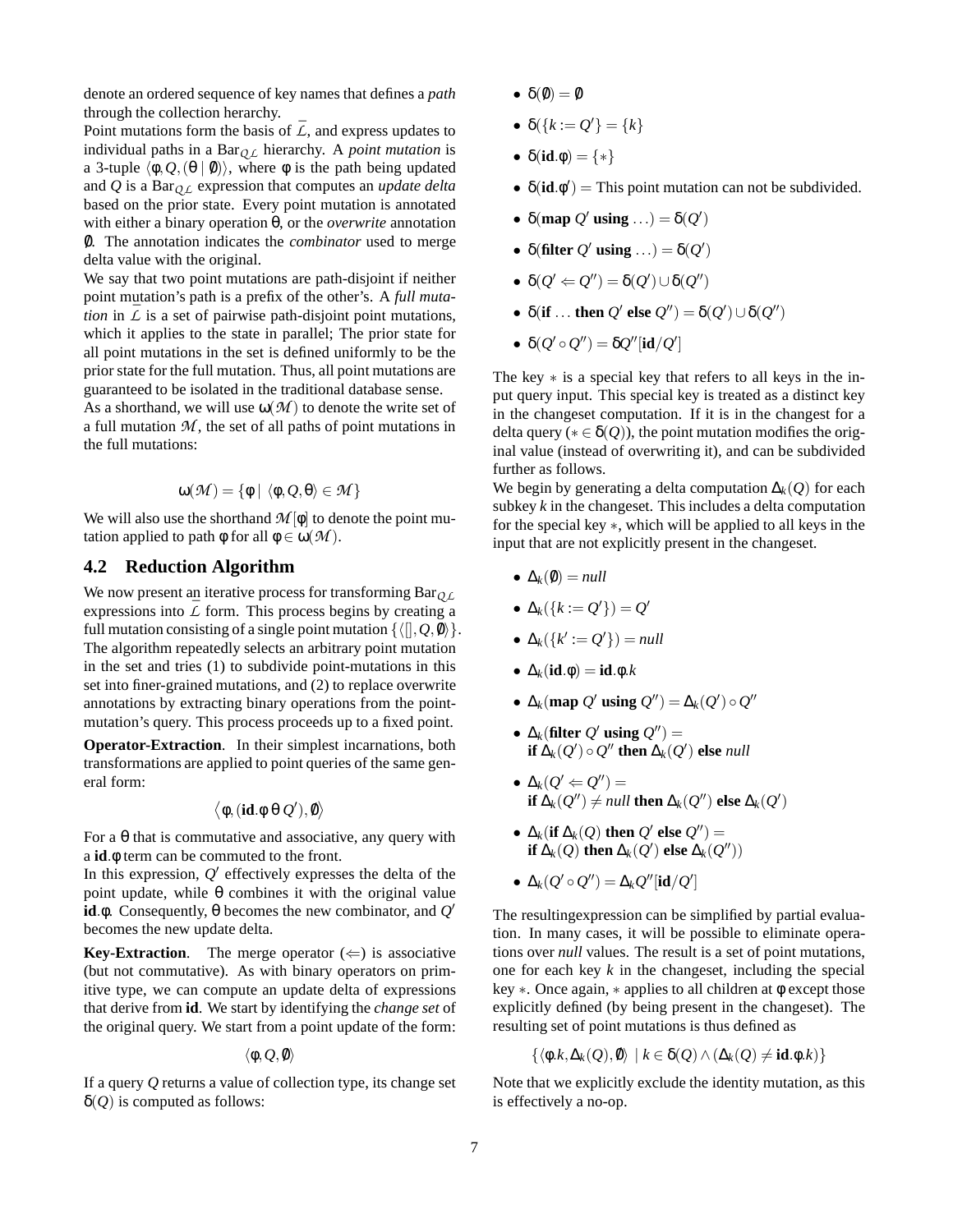denote an ordered sequence of key names that defines a *path* through the collection herarchy.

Point mutations form the basis of  $\bar{L}$ , and express updates to individual paths in a Bar*Q L* hierarchy. A *point mutation* is a 3-tuple  $\langle \phi, Q, (\theta | \phi) \rangle$ , where  $\phi$  is the path being updated and *Q* is a Bar*Q L* expression that computes an *update delta* based on the prior state. Every point mutation is annotated with either a binary operation θ, or the *overwrite* annotation 0/. The annotation indicates the *combinator* used to merge delta value with the original.

We say that two point mutations are path-disjoint if neither point mutation's path is a prefix of the other's. A *full mutation* in  $\overline{L}$  is a set of pairwise path-disjoint point mutations, which it applies to the state in parallel; The prior state for all point mutations in the set is defined uniformly to be the prior state for the full mutation. Thus, all point mutations are guaranteed to be isolated in the traditional database sense.

As a shorthand, we will use  $\omega(\mathcal{M})$  to denote the write set of a full mutation *M* , the set of all paths of point mutations in the full mutations:

$$
\omega(\mathcal{M}) = \{ \phi \mid \langle \phi, Q, \theta \rangle \in \mathcal{M} \}
$$

We will also use the shorthand  $M[\phi]$  to denote the point mutation applied to path  $\phi$  for all  $\phi \in \omega(\mathcal{M})$ .

# **4.2 Reduction Algorithm**

We now present an iterative process for transforming Bar<sub>O L</sub> expressions into  $\overline{L}$  form. This process begins by creating a full mutation consisting of a single point mutation  $\{(\mathbf{0},\mathbf{0},\mathbf{0})\}$ . The algorithm repeatedly selects an arbitrary point mutation in the set and tries (1) to subdivide point-mutations in this set into finer-grained mutations, and (2) to replace overwrite annotations by extracting binary operations from the pointmutation's query. This process proceeds up to a fixed point.

**Operator-Extraction**. In their simplest incarnations, both transformations are applied to point queries of the same general form:

$$
\langle \varphi, (\text{id}.\varphi \, \theta \, \mathcal{Q}'), \emptyset \rangle
$$

For a  $\theta$  that is commutative and associative, any query with a **id**.φ term can be commuted to the front.

In this expression,  $Q'$  effectively expresses the delta of the point update, while θ combines it with the original value **id**.φ. Consequently, θ becomes the new combinator, and *Q* ′ becomes the new update delta.

**Key-Extraction.** The merge operator  $(\Leftarrow)$  is associative (but not commutative). As with binary operators on primitive type, we can compute an update delta of expressions that derive from **id**. We start by identifying the *change set* of the original query. We start from a point update of the form:

$$
\langle \phi, Q, \emptyset \rangle
$$

If a query *Q* returns a value of collection type, its change set  $δ$ (*Q*) is computed as follows:

- $\delta(\emptyset) = \emptyset$
- $\bullet$   $\delta({k := Q'} = {k}$
- $\delta(\textbf{id}.\phi) = \{*\}$
- $\delta(\mathbf{id} \cdot \phi') =$  This point mutation can not be subdivided.
- $\delta$ (map  $Q'$  using ...) =  $\delta(Q')$
- $\delta$ (filter *Q'* using ...) =  $\delta$ (*Q'*)
- $\bullet \ \delta(Q' \leftarrow Q'') = \delta(Q') \cup \delta(Q'')$
- $\delta$ (**if** ... **then**  $Q'$  **else**  $Q'$ ) =  $\delta$ ( $Q'$ )  $\cup$   $\delta$ ( $Q''$ )
- $\delta(Q' \circ Q'') = \delta Q''[\mathbf{id}/Q']$

The key  $*$  is a special key that refers to all keys in the input query input. This special key is treated as a distinct key in the changeset computation. If it is in the changest for a delta query ( $* \in \delta(Q)$ ), the point mutation modifies the original value (instead of overwriting it), and can be subdivided further as follows.

We begin by generating a delta computation ∆*k*(*Q*) for each subkey *k* in the changeset. This includes a delta computation for the special key ∗, which will be applied to all keys in the input that are not explicitly present in the changeset.

- $\Delta_k(0) = null$
- $\bullet \Delta_k({k := Q'} ) = Q'$
- $\bullet \Delta_k({k':=Q'}=null$
- ∆*k*(**id**.φ) = **id**.φ.*k*
- $\Delta_k$ (map  $Q'$  using  $Q'') = \Delta_k(Q') \circ Q''$
- $\Delta_k$ (filter  $Q'$  using  $Q''$ ) = **if**  $\Delta_k(Q') \circ Q''$  **then**  $\Delta_k(Q')$  **else** *null*
- $\bullet$   $\Delta_k(Q' \Leftarrow Q'') =$ **if**  $\Delta_k(Q'') \neq null$  **then**  $\Delta_k(Q'')$  **else**  $\Delta_k(Q')$
- $\bullet$  ∆<sub>*k*</sub>(**if** ∆<sub>*k*</sub>(*Q*) **then**  $Q'$  **else**  $Q''$ ) = **if**  $\Delta_k(Q)$  **then**  $\Delta_k(Q')$  **else**  $\Delta_k(Q''))$
- $\bullet \Delta_k(Q' \circ Q'') = \Delta_k Q''[\textbf{id}/Q']$

The resultingexpression can be simplified by partial evaluation. In many cases, it will be possible to eliminate operations over *null* values. The result is a set of point mutations, one for each key *k* in the changeset, including the special key ∗. Once again, ∗ applies to all children at φ except those explicitly defined (by being present in the changeset). The resulting set of point mutations is thus defined as

$$
\{\langle \phi.k, \Delta_k(Q), \emptyset \rangle \mid k \in \delta(Q) \land (\Delta_k(Q) \neq \textbf{id}.\phi.k)\}
$$

Note that we explicitly exclude the identity mutation, as this is effectively a no-op.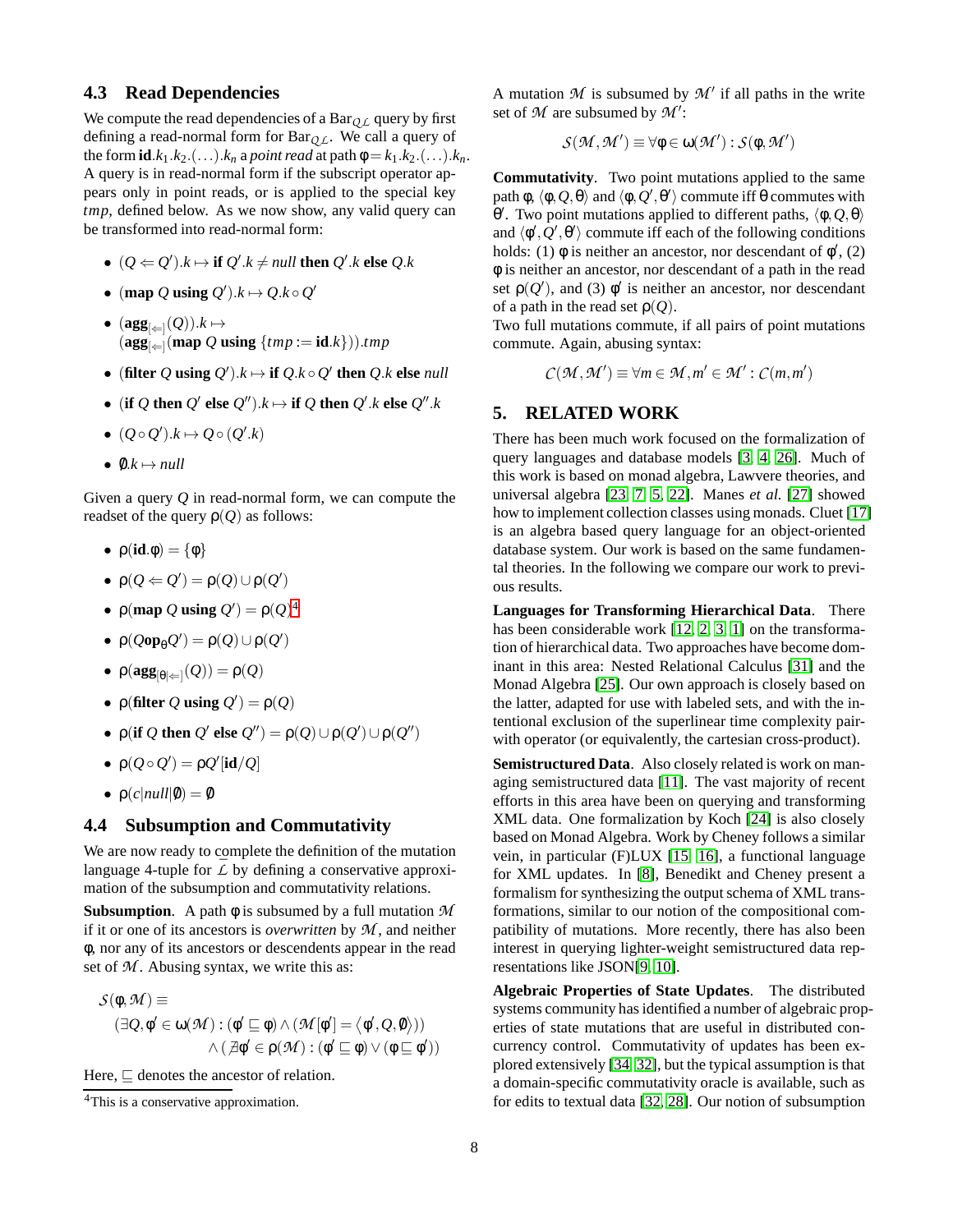# **4.3 Read Dependencies**

We compute the read dependencies of a Bar $_{QL}$  query by first defining a read-normal form for Bar*Q L*. We call a query of the form  $id.k_1.k_2.(\ldots) .k_n$  a *point read* at path  $\phi = k_1.k_2.(\ldots) .k_n$ . A query is in read-normal form if the subscript operator appears only in point reads, or is applied to the special key *tmp*, defined below. As we now show, any valid query can be transformed into read-normal form:

- $(Q \Leftarrow Q')$ . $k \mapsto$  **if**  $Q'$ . $k \neq null$  **then**  $Q'$ . $k$  **else**  $Q$ . $k$
- (map *Q* using  $Q'$ ). $k \mapsto Q$ . $k \circ Q'$
- $(\textbf{agg}_{\lvert\Leftarrow\rvert}(Q)).k \mapsto$  $(\textbf{agg}_{\leq |\leftarrow]}(\textbf{map }Q \textbf{ using } \{tmp := \textbf{id}.k\}))$ .*tmp*
- (filter *Q* using  $Q'$ ). $k \mapsto$  if  $Q$ . $k \circ Q'$  then  $Q$ . $k$  else *null*
- (if  $Q$  then  $Q'$  else  $Q'')$ . $k \mapsto$  if  $Q$  then  $Q'$ . $k$  else  $Q''$ . $k$
- $\bullet$   $(Q \circ Q')$ . $k$   $\mapsto$   $Q \circ (Q'$ . $k)$
- $0.k \mapsto null$

Given a query *Q* in read-normal form, we can compute the readset of the query  $\rho(Q)$  as follows:

- $\bullet$   $p(id.\phi) = {\phi}$
- $\rho(Q \leftarrow Q') = \rho(Q) \cup \rho(Q')$
- $\rho$ (map *Q* using *Q'*) =  $\rho$ (*Q*)<sup>[4](#page-7-0)</sup>
- $\bullet$   $\rho(\mathcal{Q} \circ \mathbf{p}_{\theta} \mathcal{Q}') = \rho(\mathcal{Q}) \cup \rho(\mathcal{Q}')$
- $\bullet$   $\rho(\mathbf{agg}_{\lbrack \theta \rbrack \Leftarrow \rbrack}(\mathcal{Q})) = \rho(\mathcal{Q})$
- $\rho$ (filter *Q* using *Q'*) =  $\rho$ (*Q*)
- $\rho$ (**if** *Q* **then**  $Q'$  **else**  $Q''$ ) =  $\rho$ (*Q*) $\cup$   $\rho$ (*Q'*) $\cup$   $\rho$ (*Q''*)
- $\rho(Q \circ Q') = \rho Q'[\text{id}/Q]$
- $\rho(c|null|0) = 0$

#### **4.4 Subsumption and Commutativity**

We are now ready to complete the definition of the mutation language 4-tuple for  $\overline{L}$  by defining a conservative approximation of the subsumption and commutativity relations.

**Subsumption**. A path φ is subsumed by a full mutation *M* if it or one of its ancestors is *overwritten* by *M* , and neither φ, nor any of its ancestors or descendents appear in the read set of  $M$ . Abusing syntax, we write this as:

$$
\mathcal{S}(\phi, \mathcal{M}) \equiv (\exists \mathcal{Q}, \phi' \in \omega(\mathcal{M}) : (\phi' \sqsubseteq \phi) \land (\mathcal{M}[\phi'] = \langle \phi', \mathcal{Q}, \phi \rangle)) \land (\mathcal{A}\phi' \in \rho(\mathcal{M}) : (\phi' \sqsubseteq \phi) \lor (\phi \sqsubseteq \phi'))
$$

Here,  $\sqsubset$  denotes the ancestor of relation.

A mutation  $M$  is subsumed by  $M'$  if all paths in the write set of *M* are subsumed by *M* ′ :

$$
\mathcal{S}(\mathcal{M},\mathcal{M}')\equiv\forall\varphi\in\omega(\mathcal{M}'): \mathcal{S}(\varphi,\mathcal{M}')
$$

**Commutativity**. Two point mutations applied to the same path  $\phi$ ,  $\langle \phi, Q, \theta \rangle$  and  $\langle \phi, Q', \theta' \rangle$  commute iff  $\theta$  commutes with θ'. Two point mutations applied to different paths,  $\langle \phi, Q, \theta \rangle$ and  $\langle \phi', Q', \theta' \rangle$  commute iff each of the following conditions holds: (1)  $\phi$  is neither an ancestor, nor descendant of  $\phi'$ , (2) φ is neither an ancestor, nor descendant of a path in the read set  $\rho(Q')$ , and (3)  $\phi'$  is neither an ancestor, nor descendant of a path in the read set  $\rho(Q)$ .

Two full mutations commute, if all pairs of point mutations commute. Again, abusing syntax:

 $C(\mathcal{M}, \mathcal{M}') \equiv \forall m \in \mathcal{M}, m' \in \mathcal{M}' : C(m, m')$ 

# **5. RELATED WORK**

There has been much work focused on the formalization of query languages and database models [\[3,](#page-8-2) [4,](#page-8-3) [26\]](#page-8-4). Much of this work is based on monad algebra, Lawvere theories, and universal algebra [\[23,](#page-8-5) [7,](#page-8-6) [5,](#page-8-7) [22\]](#page-8-8). Manes *et al.* [\[27\]](#page-8-9) showed how to implement collection classes using monads. Cluet [\[17\]](#page-8-10) is an algebra based query language for an object-oriented database system. Our work is based on the same fundamental theories. In the following we compare our work to previous results.

**Languages for Transforming Hierarchical Data**. There has been considerable work [\[12,](#page-8-11) [2,](#page-8-12) [3,](#page-8-2) [1\]](#page-8-13) on the transformation of hierarchical data. Two approaches have become dominant in this area: Nested Relational Calculus [\[31\]](#page-8-14) and the Monad Algebra [\[25\]](#page-8-0). Our own approach is closely based on the latter, adapted for use with labeled sets, and with the intentional exclusion of the superlinear time complexity pairwith operator (or equivalently, the cartesian cross-product).

**Semistructured Data**. Also closely related is work on managing semistructured data [\[11\]](#page-8-1). The vast majority of recent efforts in this area have been on querying and transforming XML data. One formalization by Koch [\[24\]](#page-8-15) is also closely based on Monad Algebra. Work by Cheney follows a similar vein, in particular (F)LUX [\[15,](#page-8-16) [16\]](#page-8-17), a functional language for XML updates. In [\[8\]](#page-8-18), Benedikt and Cheney present a formalism for synthesizing the output schema of XML transformations, similar to our notion of the compositional compatibility of mutations. More recently, there has also been interest in querying lighter-weight semistructured data representations like JSON[\[9,](#page-8-19) [10\]](#page-8-20).

**Algebraic Properties of State Updates**. The distributed systems community has identified a number of algebraic properties of state mutations that are useful in distributed concurrency control. Commutativity of updates has been explored extensively [\[34,](#page-8-21) [32\]](#page-8-22), but the typical assumption is that a domain-specific commutativity oracle is available, such as for edits to textual data [\[32,](#page-8-22) [28\]](#page-8-23). Our notion of subsumption

<span id="page-7-0"></span><sup>&</sup>lt;sup>4</sup>This is a conservative approximation.